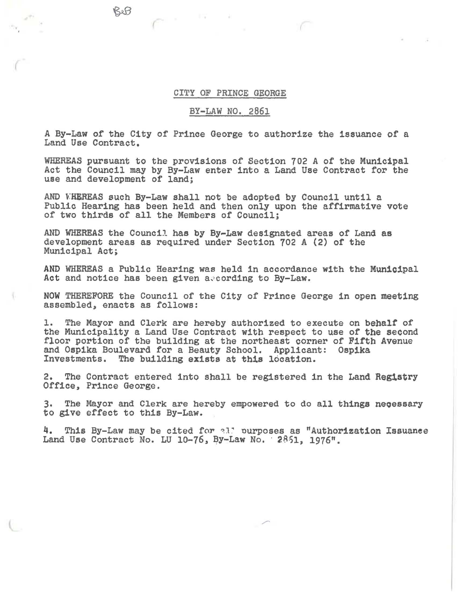## CITY OF PRINCE GEORGE

**I** W

## BY-LAW NO. 2861

A By-Law of the City of Prince George to authorize the issuance or a Land Use Contract.

WHEREAS pursuant to the provisions of Section 702 A of the Municipal Act the Council may by By-Law enter into a Land Use Contract for the use and development of land;

AND WHEREAS such By-Law shall not be adopted by Council until a Public Hearing has been held and then only upon the affirmative vote of two thirds of all the Members of Council;

AND WHEREAS the Council has by By-Law designated areas of Land as development areas as required under Section 702 A (2) of the Municipal Act;

AND WHEREAS a Public Hearing was held in accordance with the Municipal Act and notice has been given aecording to By-Law.

NOW THEREFORE the Council of the City of Prince George in open meeting assembled, enacts as follows:

1. The Mayor and Clerk are hereby authorized to execute on behalt of the Municipality a Land Use Contract with respect to use of the second floor portion of the building at the northeast corner of Fifth Avenue and Ospika Boulevard for a Beauty School. Applicant: Ospika<br>Investments. The building exists at this location. The building exists at this location.

2. The Contract entered into shall be registered in the Land Reg1stry Office, Prince George.

3. The Mayor and Clerk are hereby empowered to do all things necessary to give effect to this By-Law.

4. This By-Law may be cited for all purposes as "Authorization Issuance Land Use Contract No. LU 10-76, By-Law No.  $2.851$ , 1976".

BeB

*r* 

{